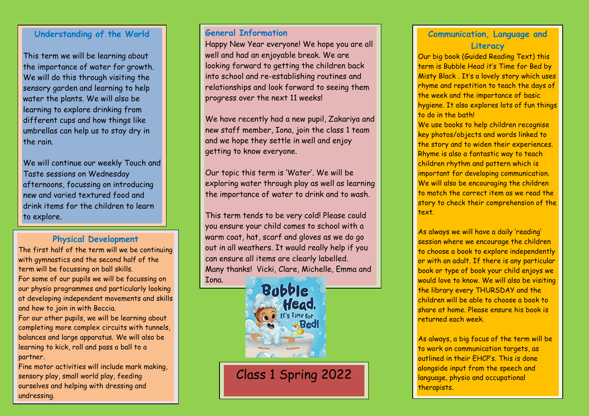### **Understanding of the World**

This term we will be learning about the importance of water for growth. We will do this through visiting the sensory garden and learning to help water the plants. We will also be learning to explore drinking from different cups and how things like umbrellas can help us to stay dry in the rain.

We will continue our weekly Touch and Taste sessions on Wednesday afternoons, focussing on introducing new and varied textured food and drink items for the children to learn to explore.

## **Physical Development**

 our physio programmes and particularly looking The first half of the term will we be continuing with gymnastics and the second half of the term will be focussing on ball skills. For some of our pupils we will be focussing on at developing independent movements and skills and how to join in with Boccia.

For our other pupils, we will be learning about completing more complex circuits with tunnels, balances and large apparatus. We will also be learning to kick, roll and pass a ball to a partner.

Fine motor activities will include mark making, sensory play, small world play, feeding ourselves and helping with dressing and undressing.

## **General Information**

Happy New Year everyone! We hope you are all well and had an enjoyable break. We are looking forward to getting the children back into school and re-establishing routines and relationships and look forward to seeing them progress over the next 11 weeks!

We have recently had a new pupil, Zakariya and new staff member, Iona, join the class 1 team and we hope they settle in well and enjoy getting to know everyone.

Our topic this term is 'Water'. We will be exploring water through play as well as learning the importance of water to drink and to wash.

 Many thanks! Vicki, Clare, Michelle, Emma and This term tends to be very cold! Please could you ensure your child comes to school with a warm coat, hat, scarf and gloves as we do go out in all weathers. It would really help if you can ensure all items are clearly labelled. Iona.



## **Communication, Language and Literacy**

Our big book (Guided Reading Text) this term is Bubble Head it's Time for Bed by Misty Black . It's a lovely story which uses rhyme and repetition to teach the days of the week and the importance of basic hygiene. It also explores lots of fun things to do in the bath!

We use books to help children recognise key photos/objects and words linked to the story and to widen their experiences. Rhyme is also a fantastic way to teach children rhythm and pattern which is important for developing communication. We will also be encouraging the children to match the correct item as we read the story to check their comprehension of the text.

As always we will have a daily 'reading' session where we encourage the children to choose a book to explore independently or with an adult. If there is any particular book or type of book your child enjoys we would love to know. We will also be visiting the library every THURSDAY and the children will be able to choose a book to share at home. Please ensure his book is returned each week.

As always, a big focus of the term will be to work on communication targets, as outlined in their EHCP's. This is done alongside input from the speech and language, physio and occupational therapists.